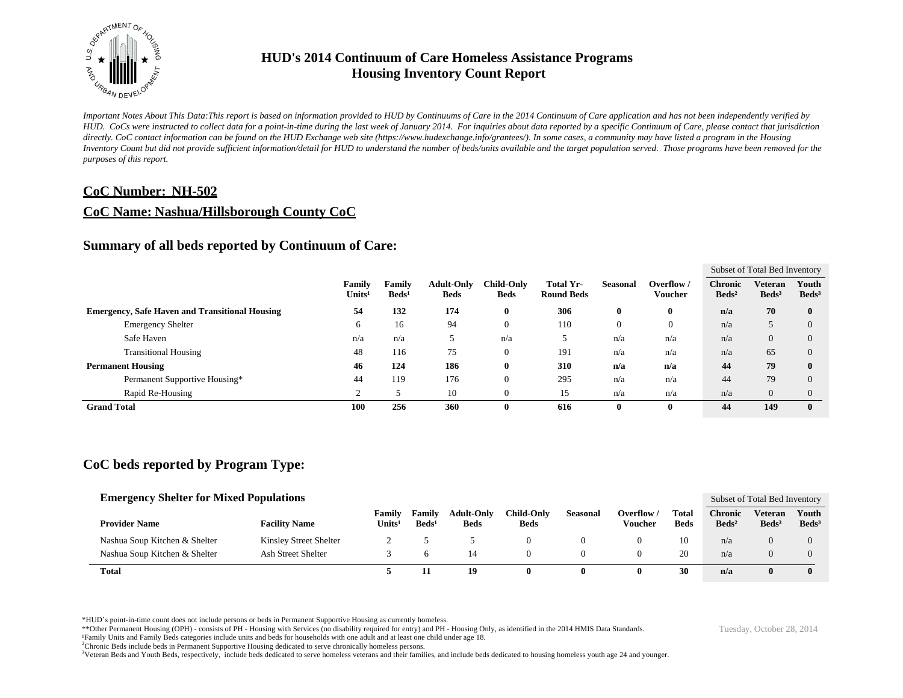

*Important Notes About This Data:This report is based on information provided to HUD by Continuums of Care in the 2014 Continuum of Care application and has not been independently verified by HUD. CoCs were instructed to collect data for a point-in-time during the last week of January 2014. For inquiries about data reported by a specific Continuum of Care, please contact that jurisdiction*  directly. CoC contact information can be found on the HUD Exchange web site (https://www.hudexchange.info/grantees/). In some cases, a community may have listed a program in the Housing *Inventory Count but did not provide sufficient information/detail for HUD to understand the number of beds/units available and the target population served. Those programs have been removed for the purposes of this report.*

#### **CoC Number: NH-502**

## **CoC Name: Nashua/Hillsborough County CoC**

## **Summary of all beds reported by Continuum of Care:**

|                                                       |                              |                                  |                                  |                                  |                                |                 |                      | Subset of Total Bed Inventory       |                                     |                          |  |
|-------------------------------------------------------|------------------------------|----------------------------------|----------------------------------|----------------------------------|--------------------------------|-----------------|----------------------|-------------------------------------|-------------------------------------|--------------------------|--|
|                                                       | Family<br>Units <sup>1</sup> | <b>Family</b><br>$\text{Beds}^1$ | <b>Adult-Only</b><br><b>Beds</b> | <b>Child-Only</b><br><b>Beds</b> | Total Yr-<br><b>Round Beds</b> | <b>Seasonal</b> | Overflow/<br>Voucher | <b>Chronic</b><br>Beds <sup>2</sup> | <b>Veteran</b><br>Beds <sup>3</sup> | Youth<br>$\text{Beds}^3$ |  |
| <b>Emergency, Safe Haven and Transitional Housing</b> | 54                           | 132                              | 174                              | $\bf{0}$                         | 306                            | $\bf{0}$        | 0                    | n/a                                 | 70                                  | $\bf{0}$                 |  |
| <b>Emergency Shelter</b>                              | 6                            | 16                               | 94                               | $\mathbf{0}$                     | 110                            |                 | $\Omega$             | n/a                                 |                                     | $\Omega$                 |  |
| Safe Haven                                            | n/a                          | n/a                              |                                  | n/a                              |                                | n/a             | n/a                  | n/a                                 | $\overline{0}$                      | $\Omega$                 |  |
| <b>Transitional Housing</b>                           | 48                           | 116                              | 75                               | 0                                | 191                            | n/a             | n/a                  | n/a                                 | 65                                  | $\Omega$                 |  |
| <b>Permanent Housing</b>                              | 46                           | 124                              | 186                              | $\bf{0}$                         | 310                            | n/a             | n/a                  | 44                                  | 79                                  | 0                        |  |
| Permanent Supportive Housing*                         | 44                           | 119                              | 176                              | $\mathbf{0}$                     | 295                            | n/a             | n/a                  | 44                                  | 79                                  | $\Omega$                 |  |
| Rapid Re-Housing                                      | $\sim$                       |                                  | 10                               | $\mathbf{0}$                     | 15                             | n/a             | n/a                  | n/a                                 | $\overline{0}$                      | $\Omega$                 |  |
| <b>Grand Total</b>                                    | 100                          | 256                              | 360                              | $\bf{0}$                         | 616                            | 0               | 0                    | 44                                  | 149                                 | $\bf{0}$                 |  |

## **CoC beds reported by Program Type:**

| <b>Emergency Shelter for Mixed Populations</b> |                        |                                                 |                             |                                  |                                  |                 |                     |                             | Subset of Total Bed Inventory       |                              |                            |  |
|------------------------------------------------|------------------------|-------------------------------------------------|-----------------------------|----------------------------------|----------------------------------|-----------------|---------------------|-----------------------------|-------------------------------------|------------------------------|----------------------------|--|
| <b>Provider Name</b>                           | <b>Facility Name</b>   | Family<br>$\mathbb{U}$ nits $^{\text{\tiny 1}}$ | Family<br>Beds <sup>1</sup> | <b>Adult-Only</b><br><b>Beds</b> | <b>Child-Only</b><br><b>Beds</b> | <b>Seasonal</b> | Overflow<br>Voucher | <b>Total</b><br><b>Beds</b> | <b>Chronic</b><br>Beds <sup>2</sup> | Veteran<br>Beds <sup>3</sup> | Youth<br>Beds <sup>3</sup> |  |
| Nashua Soup Kitchen & Shelter                  | Kinsley Street Shelter |                                                 |                             |                                  |                                  | $\theta$        |                     | 10                          | n/a                                 | $\theta$                     | $\theta$                   |  |
| Nashua Soup Kitchen & Shelter                  | Ash Street Shelter     |                                                 | 6                           |                                  |                                  | $\theta$        |                     | 20                          | n/a                                 | 0                            | 0                          |  |
| <b>Total</b>                                   |                        |                                                 |                             | 19                               | $\mathbf{0}$                     |                 | o                   | 30                          | n/a                                 | $\mathbf{0}$                 | $\mathbf{0}$               |  |

\*HUD's point-in-time count does not include persons or beds in Permanent Supportive Housing as currently homeless.

\*\*Other Permanent Housing (OPH) - consists of PH - Housing with Services (no disability required for entry) and PH - Housing Only, as identified in the 2014 HMIS Data Standards. ¹Family Units and Family Beds categories include units and beds for households with one adult and at least one child under age 18.

<sup>2</sup>Chronic Beds include beds in Permanent Supportive Housing dedicated to serve chronically homeless persons.

<sup>3</sup>Veteran Beds and Youth Beds, respectively, include beds dedicated to serve homeless veterans and their families, and include beds dedicated to housing homeless youth age 24 and younger.

Tuesday, October 28, 2014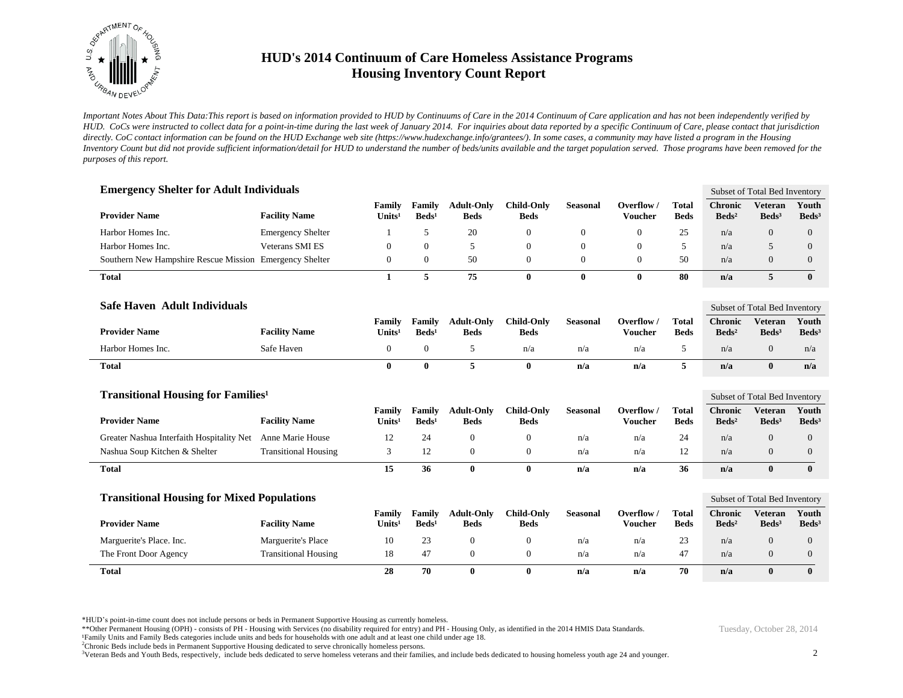

*Important Notes About This Data:This report is based on information provided to HUD by Continuums of Care in the 2014 Continuum of Care application and has not been independently verified by HUD. CoCs were instructed to collect data for a point-in-time during the last week of January 2014. For inquiries about data reported by a specific Continuum of Care, please contact that jurisdiction*  directly. CoC contact information can be found on the HUD Exchange web site (https://www.hudexchange.info/grantees/). In some cases, a community may have listed a program in the Housing *Inventory Count but did not provide sufficient information/detail for HUD to understand the number of beds/units available and the target population served. Those programs have been removed for the purposes of this report.*

| <b>Emergency Shelter for Adult Individuals</b>          |                             |                              |                           |                                  |                                  |                 |                              |                             |                                   | Subset of Total Bed Inventory     |                            |
|---------------------------------------------------------|-----------------------------|------------------------------|---------------------------|----------------------------------|----------------------------------|-----------------|------------------------------|-----------------------------|-----------------------------------|-----------------------------------|----------------------------|
| <b>Provider Name</b>                                    | <b>Facility Name</b>        | Family<br>Units <sup>1</sup> | Family<br>$\text{Beds}^1$ | <b>Adult-Only</b><br><b>Beds</b> | <b>Child-Only</b><br><b>Beds</b> | <b>Seasonal</b> | Overflow /<br><b>Voucher</b> | <b>Total</b><br><b>Beds</b> | <b>Chronic</b><br>$\text{Beds}^2$ | <b>Veteran</b><br>$\text{Beds}^3$ | Youth<br>$\text{Beds}^3$   |
| Harbor Homes Inc.                                       | <b>Emergency Shelter</b>    |                              | 5                         | 20                               | $\mathbf{0}$                     | $\mathbf{0}$    | $\Omega$                     | 25                          | n/a                               | $\overline{0}$                    | $\theta$                   |
| Harbor Homes Inc.                                       | <b>Veterans SMI ES</b>      | $\mathbf{0}$                 | $\Omega$                  | 5                                | $\boldsymbol{0}$                 | $\mathbf{0}$    | $\Omega$                     | 5                           | n/a                               | 5                                 | $\Omega$                   |
| Southern New Hampshire Rescue Mission Emergency Shelter |                             | $\mathbf{0}$                 | $\overline{0}$            | 50                               | $\boldsymbol{0}$                 | 0               | $\theta$                     | 50                          | n/a                               | $\Omega$                          | $\theta$                   |
| <b>Total</b>                                            |                             | 1                            | 5                         | 75                               | $\bf{0}$                         | $\bf{0}$        | $\mathbf{0}$                 | 80                          | n/a                               | 5                                 | $\mathbf{0}$               |
| <b>Safe Haven Adult Individuals</b>                     |                             |                              |                           |                                  |                                  |                 |                              |                             |                                   | Subset of Total Bed Inventory     |                            |
| <b>Provider Name</b>                                    | <b>Facility Name</b>        | Family<br>Units $1$          | Family<br>$\text{Beds}^1$ | <b>Adult-Only</b><br><b>Beds</b> | <b>Child-Only</b><br><b>Beds</b> | <b>Seasonal</b> | Overflow /<br><b>Voucher</b> | <b>Total</b><br><b>Beds</b> | <b>Chronic</b><br>$\text{Beds}^2$ | <b>Veteran</b><br>$\text{Beds}^3$ | Youth<br>Beds <sup>3</sup> |
| Harbor Homes Inc.                                       | Safe Haven                  | $\mathbf{0}$                 | $\boldsymbol{0}$          | 5                                | n/a                              | n/a             | n/a                          | 5                           | n/a                               | $\mathbf{0}$                      | n/a                        |
| <b>Total</b>                                            |                             | $\bf{0}$                     | $\bf{0}$                  | 5                                | $\bf{0}$                         | n/a             | n/a                          | 5                           | n/a                               | $\bf{0}$                          | n/a                        |
| <b>Transitional Housing for Families<sup>1</sup></b>    |                             |                              |                           |                                  |                                  |                 |                              |                             |                                   | Subset of Total Bed Inventory     |                            |
|                                                         |                             | Family                       | Family                    | <b>Adult-Only</b>                | <b>Child-Only</b>                | <b>Seasonal</b> | Overflow /                   | <b>Total</b>                | <b>Chronic</b>                    | <b>Veteran</b>                    | Youth                      |
| <b>Provider Name</b>                                    | <b>Facility Name</b>        | Units <sup>1</sup>           | $\text{Beds}^1$           | <b>Beds</b>                      | <b>Beds</b>                      |                 | <b>Voucher</b>               | <b>Beds</b>                 | $\text{Beds}^2$                   | Beds <sup>3</sup>                 | Beds <sup>3</sup>          |
| Greater Nashua Interfaith Hospitality Net               | Anne Marie House            | 12                           | 24                        | $\theta$                         | $\overline{0}$                   | n/a             | n/a                          | 24                          | n/a                               | $\theta$                          | $\theta$                   |
| Nashua Soup Kitchen & Shelter                           | <b>Transitional Housing</b> | 3                            | 12                        | $\boldsymbol{0}$                 | $\boldsymbol{0}$                 | n/a             | n/a                          | 12                          | n/a                               | $\theta$                          | $\theta$                   |
| <b>Total</b>                                            |                             | 15                           | 36                        | $\bf{0}$                         | $\bf{0}$                         | n/a             | n/a                          | 36                          | n/a                               | $\mathbf{0}$                      | $\bf{0}$                   |
| <b>Transitional Housing for Mixed Populations</b>       |                             |                              |                           |                                  |                                  |                 |                              |                             |                                   | Subset of Total Bed Inventory     |                            |
|                                                         |                             | Family                       | Family                    | <b>Adult-Only</b>                | <b>Child-Only</b>                | <b>Seasonal</b> | Overflow /                   | <b>Total</b>                | <b>Chronic</b>                    | <b>Veteran</b>                    | Youth                      |
| <b>Provider Name</b>                                    | <b>Facility Name</b>        | Units $1$                    | $\text{Beds}^1$           | <b>Beds</b>                      | <b>Beds</b>                      |                 | <b>Voucher</b>               | <b>Beds</b>                 | $\text{Beds}^2$                   | $\text{Beds}^3$                   | Beds <sup>3</sup>          |
| Marguerite's Place. Inc.                                | Marguerite's Place          | 10                           | 23                        | $\mathbf{0}$                     | $\boldsymbol{0}$                 | n/a             | n/a                          | 23                          | n/a                               | $\overline{0}$                    | $\theta$                   |
| The Front Door Agency                                   | <b>Transitional Housing</b> | 18                           | 47                        | $\mathbf{0}$                     | $\mathbf{0}$                     | n/a             | n/a                          | 47                          | n/a                               | $\theta$                          | $\theta$                   |
| <b>Total</b>                                            |                             | 28                           | 70                        | $\bf{0}$                         | $\bf{0}$                         | n/a             | n/a                          | 70                          | n/a                               | $\bf{0}$                          | $\bf{0}$                   |

\*HUD's point-in-time count does not include persons or beds in Permanent Supportive Housing as currently homeless.

\*\*Other Permanent Housing (OPH) - consists of PH - Housing with Services (no disability required for entry) and PH - Housing Only, as identified in the 2014 HMIS Data Standards. ¹Family Units and Family Beds categories include units and beds for households with one adult and at least one child under age 18.

<sup>2</sup>Chronic Beds include beds in Permanent Supportive Housing dedicated to serve chronically homeless persons.

<sup>3</sup>Veteran Beds and Youth Beds, respectively, include beds dedicated to serve homeless veterans and their families, and include beds dedicated to housing homeless youth age 24 and younger.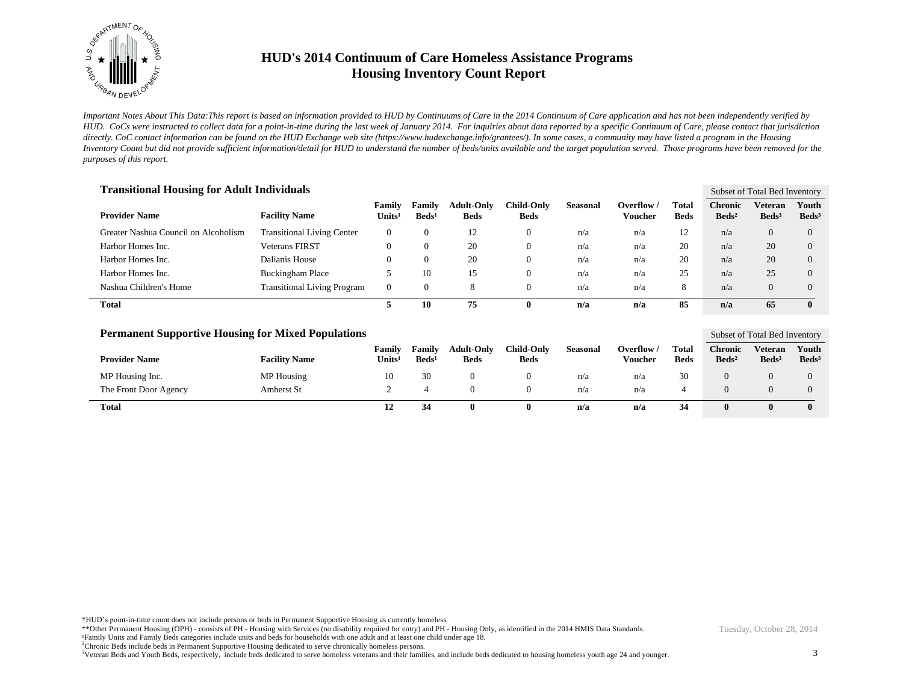

*Important Notes About This Data:This report is based on information provided to HUD by Continuums of Care in the 2014 Continuum of Care application and has not been independently verified by HUD. CoCs were instructed to collect data for a point-in-time during the last week of January 2014. For inquiries about data reported by a specific Continuum of Care, please contact that jurisdiction*  directly. CoC contact information can be found on the HUD Exchange web site (https://www.hudexchange.info/grantees/). In some cases, a community may have listed a program in the Housing *Inventory Count but did not provide sufficient information/detail for HUD to understand the number of beds/units available and the target population served. Those programs have been removed for the purposes of this report.*

| <b>Transitional Housing for Adult Individuals</b> |                                    |                              |                                  |                                  |                                  |                 |                       |                      |                                   |                              | Subset of Total Bed Inventory |  |  |
|---------------------------------------------------|------------------------------------|------------------------------|----------------------------------|----------------------------------|----------------------------------|-----------------|-----------------------|----------------------|-----------------------------------|------------------------------|-------------------------------|--|--|
| <b>Provider Name</b>                              | <b>Facility Name</b>               | Family<br>Units <sup>1</sup> | <b>Family</b><br>$\text{Beds}^1$ | <b>Adult-Only</b><br><b>Beds</b> | <b>Child-Only</b><br><b>Beds</b> | <b>Seasonal</b> | Overflow /<br>Voucher | Total<br><b>Beds</b> | <b>Chronic</b><br>$\text{Beds}^2$ | Veteran<br>Beds <sup>3</sup> | Youth<br>$\text{Beds}^3$      |  |  |
| Greater Nashua Council on Alcoholism              | <b>Transitional Living Center</b>  | $\mathbf{0}$                 | 0                                | 12                               | υ                                | n/a             | n/a                   | 12                   | n/a                               | $\overline{0}$               | $\Omega$                      |  |  |
| Harbor Homes Inc.                                 | <b>Veterans FIRST</b>              | $\mathbf{0}$                 | 0                                | 20                               |                                  | n/a             | n/a                   | 20                   | n/a                               | 20                           | $\Omega$                      |  |  |
| Harbor Homes Inc.                                 | Dalianis House                     | $\overline{0}$               | 0                                | 20                               | v                                | n/a             | n/a                   | 20                   | n/a                               | 20                           | $\Omega$                      |  |  |
| Harbor Homes Inc.                                 | <b>Buckingham Place</b>            |                              | 10                               | 15                               | υ                                | n/a             | n/a                   | 25                   | n/a                               | 25                           | $\Omega$                      |  |  |
| Nashua Children's Home                            | <b>Transitional Living Program</b> | $\mathbf{0}$                 | 0                                |                                  |                                  | n/a             | n/a                   | 8                    | n/a                               | $\Omega$                     | $\Omega$                      |  |  |
| Total                                             |                                    |                              | 10                               | 75                               | $\bf{0}$                         | n/a             | n/a                   | 85                   | n/a                               | 65                           | $\mathbf{0}$                  |  |  |

| <b>Permanent Supportive Housing for Mixed Populations</b> |                      |                                     |                           |                                  |                           |                 |                       |                      |                                     | Subset of Total Bed Inventory |                            |
|-----------------------------------------------------------|----------------------|-------------------------------------|---------------------------|----------------------------------|---------------------------|-----------------|-----------------------|----------------------|-------------------------------------|-------------------------------|----------------------------|
| <b>Provider Name</b>                                      | <b>Facility Name</b> | <b>Family</b><br>Units <sup>1</sup> | Family<br>$\text{Beds}^1$ | <b>Adult-Only</b><br><b>Beds</b> | Child-Only<br><b>Beds</b> | <b>Seasonal</b> | Overflow /<br>Voucher | Total<br><b>Beds</b> | <b>Chronic</b><br>Beds <sup>2</sup> | Veteran<br>Beds <sup>3</sup>  | Youth<br>Beds <sup>3</sup> |
| MP Housing Inc.                                           | MP Housing           | 10                                  | 30                        |                                  |                           | n/a             | n/a                   | 30                   |                                     |                               |                            |
| The Front Door Agency                                     | Amherst St           |                                     |                           |                                  |                           | n/a             | n/a                   |                      |                                     |                               |                            |
| <b>Total</b>                                              |                      | 12                                  | 34                        |                                  | $\mathbf{0}$              | n/a             | n/a                   | 34                   |                                     | $\mathbf{0}$                  |                            |

\*HUD's point-in-time count does not include persons or beds in Permanent Supportive Housing as currently homeless.

\*\*Other Permanent Housing (OPH) - consists of PH - Housing with Services (no disability required for entry) and PH - Housing Only, as identified in the 2014 HMIS Data Standards. ¹Family Units and Family Beds categories include units and beds for households with one adult and at least one child under age 18.

<sup>2</sup>Chronic Beds include beds in Permanent Supportive Housing dedicated to serve chronically homeless persons.

<sup>3</sup>Veteran Beds and Youth Beds, respectively, include beds dedicated to serve homeless veterans and their families, and include beds dedicated to housing homeless youth age 24 and younger.